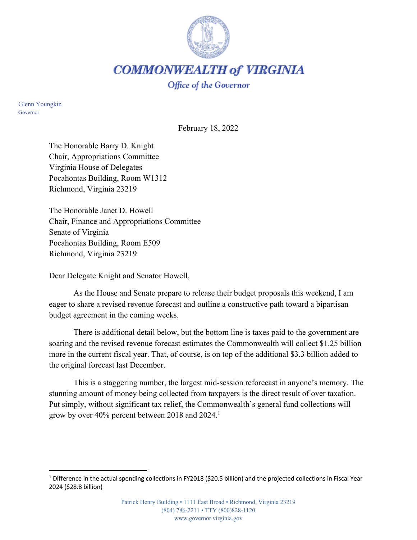

**COMMONWEALTH of VIRGINIA** 

Office of the Governor

Glenn Youngkin Governor

February 18, 2022

The Honorable Barry D. Knight Chair, Appropriations Committee Virginia House of Delegates Pocahontas Building, Room W1312 Richmond, Virginia 23219

The Honorable Janet D. Howell Chair, Finance and Appropriations Committee Senate of Virginia Pocahontas Building, Room E509 Richmond, Virginia 23219

Dear Delegate Knight and Senator Howell,

As the House and Senate prepare to release their budget proposals this weekend, I am eager to share a revised revenue forecast and outline a constructive path toward a bipartisan budget agreement in the coming weeks.

There is additional detail below, but the bottom line is taxes paid to the government are soaring and the revised revenue forecast estimates the Commonwealth will collect \$1.25 billion more in the current fiscal year. That, of course, is on top of the additional \$3.3 billion added to the original forecast last December.

This is a staggering number, the largest mid-session reforecast in anyone's memory. The stunning amount of money being collected from taxpayers is the direct result of over taxation. Put simply, without significant tax relief, the Commonwealth's general fund collections will grow by over 40% percent between 2018 and 2024.<sup>1</sup>

<sup>1</sup> Difference in the actual spending collections in FY2018 (\$20.5 billion) and the projected collections in Fiscal Year 2024 (\$28.8 billion)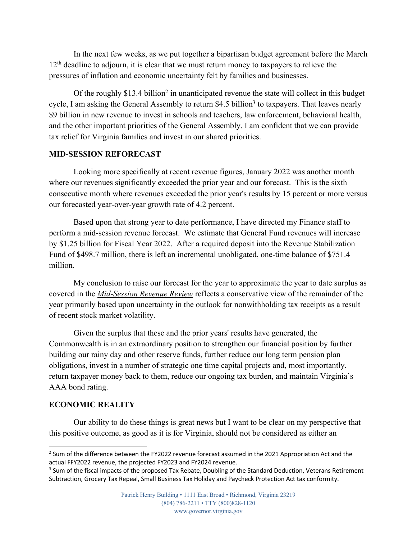In the next few weeks, as we put together a bipartisan budget agreement before the March  $12<sup>th</sup>$  deadline to adjourn, it is clear that we must return money to taxpayers to relieve the pressures of inflation and economic uncertainty felt by families and businesses.

Of the roughly \$13.4 billion<sup>2</sup> in unanticipated revenue the state will collect in this budget cycle, I am asking the General Assembly to return \$4.5 billion<sup>3</sup> to taxpayers. That leaves nearly \$9 billion in new revenue to invest in schools and teachers, law enforcement, behavioral health, and the other important priorities of the General Assembly. I am confident that we can provide tax relief for Virginia families and invest in our shared priorities.

## **MID-SESSION REFORECAST**

Looking more specifically at recent revenue figures, January 2022 was another month where our revenues significantly exceeded the prior year and our forecast. This is the sixth consecutive month where revenues exceeded the prior year's results by 15 percent or more versus our forecasted year-over-year growth rate of 4.2 percent.

Based upon that strong year to date performance, I have directed my Finance staff to perform a mid-session revenue forecast. We estimate that General Fund revenues will increase by \$1.25 billion for Fiscal Year 2022. After a required deposit into the Revenue Stabilization Fund of \$498.7 million, there is left an incremental unobligated, one-time balance of \$751.4 million.

My conclusion to raise our forecast for the year to approximate the year to date surplus as covered in the *Mid-Session Revenue Review* reflects a conservative view of the remainder of the year primarily based upon uncertainty in the outlook for nonwithholding tax receipts as a result of recent stock market volatility.

Given the surplus that these and the prior years' results have generated, the Commonwealth is in an extraordinary position to strengthen our financial position by further building our rainy day and other reserve funds, further reduce our long term pension plan obligations, invest in a number of strategic one time capital projects and, most importantly, return taxpayer money back to them, reduce our ongoing tax burden, and maintain Virginia's AAA bond rating.

## **ECONOMIC REALITY**

Our ability to do these things is great news but I want to be clear on my perspective that this positive outcome, as good as it is for Virginia, should not be considered as either an

 $2$  Sum of the difference between the FY2022 revenue forecast assumed in the 2021 Appropriation Act and the actual FFY2022 revenue, the projected FY2023 and FY2024 revenue.

<sup>&</sup>lt;sup>3</sup> Sum of the fiscal impacts of the proposed Tax Rebate, Doubling of the Standard Deduction, Veterans Retirement Subtraction, Grocery Tax Repeal, Small Business Tax Holiday and Paycheck Protection Act tax conformity.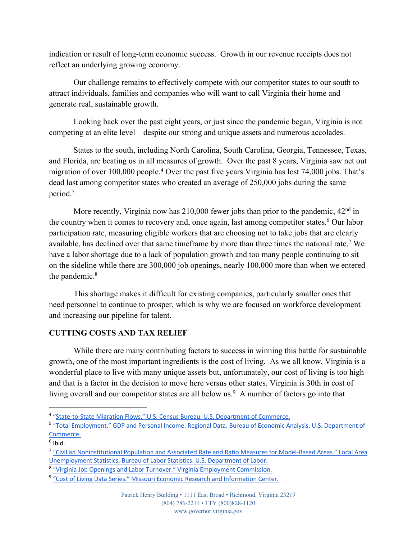indication or result of long-term economic success. Growth in our revenue receipts does not reflect an underlying growing economy.

Our challenge remains to effectively compete with our competitor states to our south to attract individuals, families and companies who will want to call Virginia their home and generate real, sustainable growth.

Looking back over the past eight years, or just since the pandemic began, Virginia is not competing at an elite level – despite our strong and unique assets and numerous accolades.

States to the south, including North Carolina, South Carolina, Georgia, Tennessee, Texas, and Florida, are beating us in all measures of growth. Over the past 8 years, Virginia saw net out migration of over 100,000 people. <sup>4</sup> Over the past five years Virginia has lost 74,000 jobs. That's dead last among competitor states who created an average of 250,000 jobs during the same period.5

More recently, Virginia now has  $210,000$  fewer jobs than prior to the pandemic,  $42<sup>nd</sup>$  in the country when it comes to recovery and, once again, last among competitor states.<sup>6</sup> Our labor participation rate, measuring eligible workers that are choosing not to take jobs that are clearly available, has declined over that same timeframe by more than three times the national rate.7 We have a labor shortage due to a lack of population growth and too many people continuing to sit on the sideline while there are 300,000 job openings, nearly 100,000 more than when we entered the pandemic.<sup>8</sup>

This shortage makes it difficult for existing companies, particularly smaller ones that need personnel to continue to prosper, which is why we are focused on workforce development and increasing our pipeline for talent.

## **CUTTING COSTS AND TAX RELIEF**

While there are many contributing factors to success in winning this battle for sustainable growth, one of the most important ingredients is the cost of living. As we all know, Virginia is a wonderful place to live with many unique assets but, unfortunately, our cost of living is too high and that is a factor in the decision to move here versus other states. Virginia is 30th in cost of living overall and our competitor states are all below us. $9$  A number of factors go into that

<sup>4</sup> "State-to-State Migration Flows," U.S. Census Bureau, U.S. Department of Commerce.

<sup>5</sup> "Total Employment." GDP and Personal Income. Regional Data. Bureau of Economic Analysis. U.S. Department of Commerce.

 $<sup>6</sup>$  Ibid.</sup>

<sup>7</sup> "Civilian Noninstitutional Population and Associated Rate and Ratio Measures for Model-Based Areas." Local Area Unemployment Statistics. Bureau of Labor Statistics. U.S. Department of Labor.

<sup>8</sup> "Virginia Job Openings and Labor Turnover." Virginia Employment Commission.

<sup>&</sup>lt;sup>9</sup> "Cost of Living Data Series." Missouri Economic Research and Information Center.